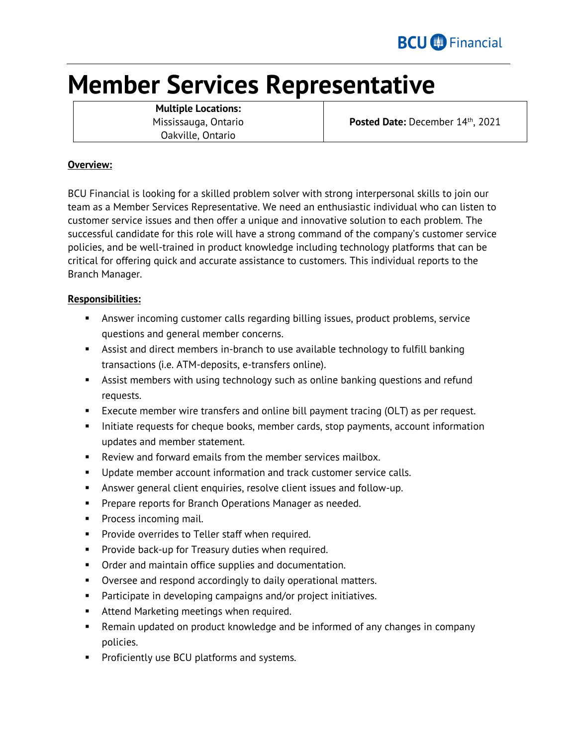# **Member Services Representative**

**Multiple Locations:** Mississauga, Ontario Oakville, Ontario

Posted Date: December 14<sup>th</sup>, 2021

## **Overview:**

BCU Financial is looking for a skilled problem solver with strong interpersonal skills to join our team as a Member Services Representative. We need an enthusiastic individual who can listen to customer service issues and then offer a unique and innovative solution to each problem. The successful candidate for this role will have a strong command of the company's customer service policies, and be well-trained in product knowledge including technology platforms that can be critical for offering quick and accurate assistance to customers. This individual reports to the Branch Manager.

# **Responsibilities:**

- Answer incoming customer calls regarding billing issues, product problems, service questions and general member concerns.
- Assist and direct members in-branch to use available technology to fulfill banking transactions (i.e. ATM-deposits, e-transfers online).
- Assist members with using technology such as online banking questions and refund requests.
- **Execute member wire transfers and online bill payment tracing (OLT) as per request.**
- Initiate requests for cheque books, member cards, stop payments, account information updates and member statement.
- **EXECT** Review and forward emails from the member services mailbox.
- **Update member account information and track customer service calls.**
- Answer general client enquiries, resolve client issues and follow-up.
- **Prepare reports for Branch Operations Manager as needed.**
- **Process incoming mail.**
- **Provide overrides to Teller staff when required.**
- **Provide back-up for Treasury duties when required.**
- **•** Order and maintain office supplies and documentation.
- Oversee and respond accordingly to daily operational matters.
- Participate in developing campaigns and/or project initiatives.
- **Attend Marketing meetings when required.**
- Remain updated on product knowledge and be informed of any changes in company policies.
- **Proficiently use BCU platforms and systems.**